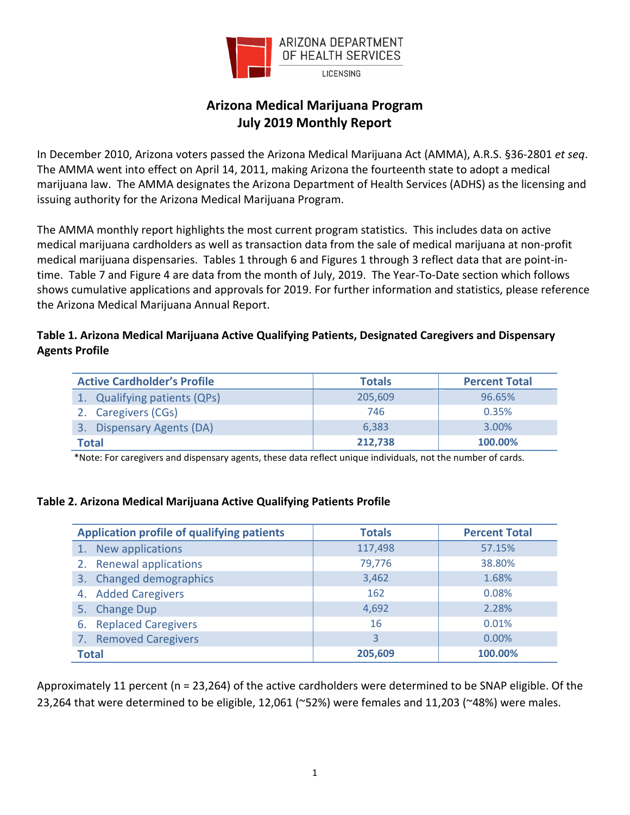

# **Arizona Medical Marijuana Program July 2019 Monthly Report**

In December 2010, Arizona voters passed the Arizona Medical Marijuana Act (AMMA), A.R.S. §36-2801 *et seq*. The AMMA went into effect on April 14, 2011, making Arizona the fourteenth state to adopt a medical marijuana law. The AMMA designates the Arizona Department of Health Services (ADHS) as the licensing and issuing authority for the Arizona Medical Marijuana Program.

The AMMA monthly report highlights the most current program statistics. This includes data on active medical marijuana cardholders as well as transaction data from the sale of medical marijuana at non-profit medical marijuana dispensaries. Tables 1 through 6 and Figures 1 through 3 reflect data that are point-intime. Table 7 and Figure 4 are data from the month of July, 2019. The Year-To-Date section which follows shows cumulative applications and approvals for 2019. For further information and statistics, please reference the Arizona Medical Marijuana Annual Report.

# **Table 1. Arizona Medical Marijuana Active Qualifying Patients, Designated Caregivers and Dispensary Agents Profile**

| <b>Active Cardholder's Profile</b> | <b>Totals</b> | <b>Percent Total</b> |
|------------------------------------|---------------|----------------------|
| 1. Qualifying patients (QPs)       | 205,609       | 96.65%               |
| 2. Caregivers (CGs)                | 746           | 0.35%                |
| 3. Dispensary Agents (DA)          | 6.383         | 3.00%                |
| Total                              | 212,738       | 100.00%              |

\*Note: For caregivers and dispensary agents, these data reflect unique individuals, not the number of cards.

## **Table 2. Arizona Medical Marijuana Active Qualifying Patients Profile**

| <b>Application profile of qualifying patients</b> | <b>Totals</b> | <b>Percent Total</b> |
|---------------------------------------------------|---------------|----------------------|
| New applications<br>1.                            | 117,498       | 57.15%               |
| 2. Renewal applications                           | 79,776        | 38.80%               |
| <b>Changed demographics</b><br>3.                 | 3,462         | 1.68%                |
| 4. Added Caregivers                               | 162           | 0.08%                |
| 5. Change Dup                                     | 4,692         | 2.28%                |
| 6. Replaced Caregivers                            | 16            | 0.01%                |
| <b>Removed Caregivers</b><br>7.                   | 3             | $0.00\%$             |
| <b>Total</b>                                      | 205.609       | 100.00%              |

Approximately 11 percent (n = 23,264) of the active cardholders were determined to be SNAP eligible. Of the 23,264 that were determined to be eligible, 12,061 (~52%) were females and 11,203 (~48%) were males.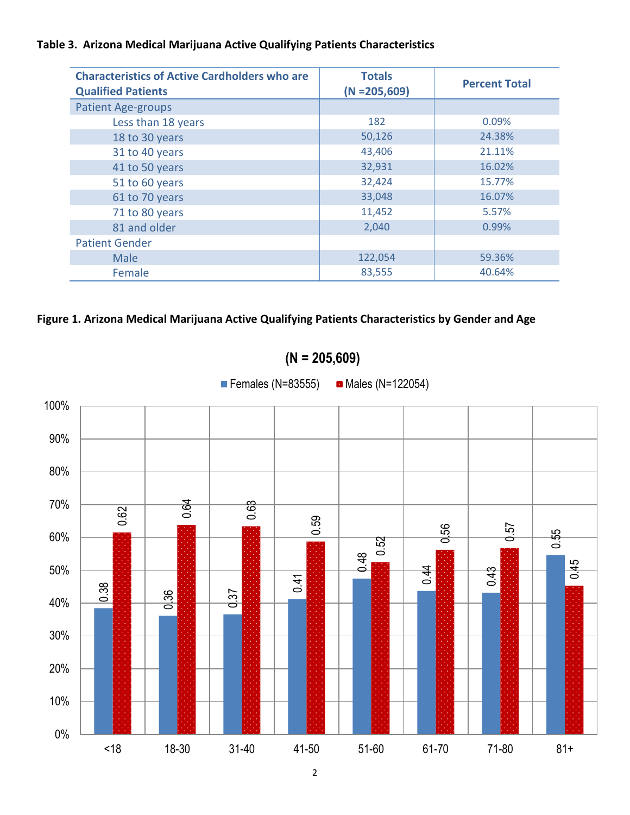# **Table 3. Arizona Medical Marijuana Active Qualifying Patients Characteristics**

| <b>Characteristics of Active Cardholders who are</b><br><b>Qualified Patients</b> | <b>Totals</b><br>$(N = 205,609)$ | <b>Percent Total</b> |
|-----------------------------------------------------------------------------------|----------------------------------|----------------------|
| <b>Patient Age-groups</b>                                                         |                                  |                      |
| Less than 18 years                                                                | 182                              | 0.09%                |
| 18 to 30 years                                                                    | 50,126                           | 24.38%               |
| 31 to 40 years                                                                    | 43,406                           | 21.11%               |
| 41 to 50 years                                                                    | 32,931                           | 16.02%               |
| 51 to 60 years                                                                    | 32,424                           | 15.77%               |
| 61 to 70 years                                                                    | 33,048                           | 16.07%               |
| 71 to 80 years                                                                    | 11,452                           | 5.57%                |
| 81 and older                                                                      | 2,040                            | 0.99%                |
| <b>Patient Gender</b>                                                             |                                  |                      |
| Male                                                                              | 122,054                          | 59.36%               |
| Female                                                                            | 83,555                           | 40.64%               |

# **Figure 1. Arizona Medical Marijuana Active Qualifying Patients Characteristics by Gender and Age**



**(N = 205,609)**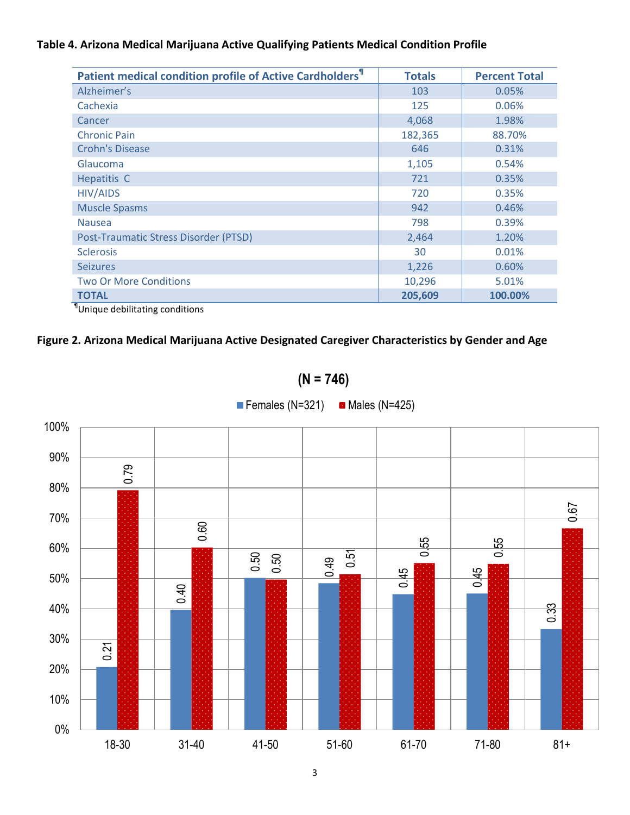# **Table 4. Arizona Medical Marijuana Active Qualifying Patients Medical Condition Profile**

| Patient medical condition profile of Active Cardholders <sup>1</sup> | <b>Totals</b> | <b>Percent Total</b> |
|----------------------------------------------------------------------|---------------|----------------------|
| Alzheimer's                                                          | 103           | 0.05%                |
| Cachexia                                                             | 125           | 0.06%                |
| Cancer                                                               | 4,068         | 1.98%                |
| <b>Chronic Pain</b>                                                  | 182,365       | 88.70%               |
| <b>Crohn's Disease</b>                                               | 646           | 0.31%                |
| Glaucoma                                                             | 1,105         | 0.54%                |
| Hepatitis C                                                          | 721           | 0.35%                |
| <b>HIV/AIDS</b>                                                      | 720           | 0.35%                |
| <b>Muscle Spasms</b>                                                 | 942           | 0.46%                |
| <b>Nausea</b>                                                        | 798           | 0.39%                |
| Post-Traumatic Stress Disorder (PTSD)                                | 2,464         | 1.20%                |
| <b>Sclerosis</b>                                                     | 30            | 0.01%                |
| <b>Seizures</b>                                                      | 1,226         | 0.60%                |
| <b>Two Or More Conditions</b>                                        | 10,296        | 5.01%                |
| <b>TOTAL</b>                                                         | 205,609       | 100.00%              |

¶ Unique debilitating conditions

# **Figure 2. Arizona Medical Marijuana Active Designated Caregiver Characteristics by Gender and Age**

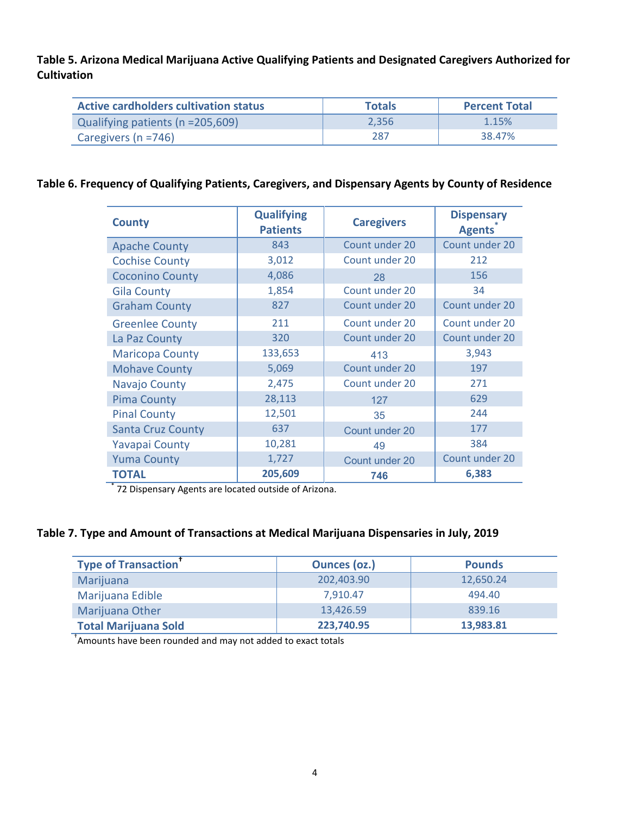**Table 5. Arizona Medical Marijuana Active Qualifying Patients and Designated Caregivers Authorized for Cultivation**

| Active cardholders cultivation status | <b>Totals</b> | <b>Percent Total</b> |
|---------------------------------------|---------------|----------------------|
| Qualifying patients (n = 205,609)     | 2.356         | 1.15%                |
| Caregivers ( $n = 746$ )              | 287           | 38.47%               |

#### **Table 6. Frequency of Qualifying Patients, Caregivers, and Dispensary Agents by County of Residence**

| <b>County</b>            | <b>Qualifying</b><br><b>Patients</b> | <b>Caregivers</b> | <b>Dispensary</b><br><b>Agents</b> |
|--------------------------|--------------------------------------|-------------------|------------------------------------|
| <b>Apache County</b>     | 843                                  | Count under 20    | Count under 20                     |
| <b>Cochise County</b>    | 3,012                                | Count under 20    | 212                                |
| <b>Coconino County</b>   | 4,086                                | 28                | 156                                |
| <b>Gila County</b>       | 1,854                                | Count under 20    | 34                                 |
| <b>Graham County</b>     | 827                                  | Count under 20    | Count under 20                     |
| <b>Greenlee County</b>   | 211                                  | Count under 20    | Count under 20                     |
| La Paz County            | 320                                  | Count under 20    | Count under 20                     |
| <b>Maricopa County</b>   | 133,653                              | 413               | 3,943                              |
| <b>Mohave County</b>     | 5,069                                | Count under 20    | 197                                |
| Navajo County            | 2,475                                | Count under 20    | 271                                |
| <b>Pima County</b>       | 28,113                               | 127               | 629                                |
| <b>Pinal County</b>      | 12,501                               | 35                | 244                                |
| <b>Santa Cruz County</b> | 637                                  | Count under 20    | 177                                |
| <b>Yavapai County</b>    | 10,281                               | 49                | 384                                |
| <b>Yuma County</b>       | 1,727                                | Count under 20    | Count under 20                     |
| <b>TOTAL</b>             | 205,609                              | 746               | 6,383                              |

\* 72 Dispensary Agents are located outside of Arizona.

#### **Table 7. Type and Amount of Transactions at Medical Marijuana Dispensaries in July, 2019**

| <b>Type of Transaction</b>  | <b>Ounces (oz.)</b> | <b>Pounds</b> |
|-----------------------------|---------------------|---------------|
| Marijuana                   | 202,403.90          | 12,650.24     |
| Marijuana Edible            | 7.910.47            | 494.40        |
| Marijuana Other             | 13,426.59           | 839.16        |
| <b>Total Marijuana Sold</b> | 223,740.95          | 13,983.81     |

† Amounts have been rounded and may not added to exact totals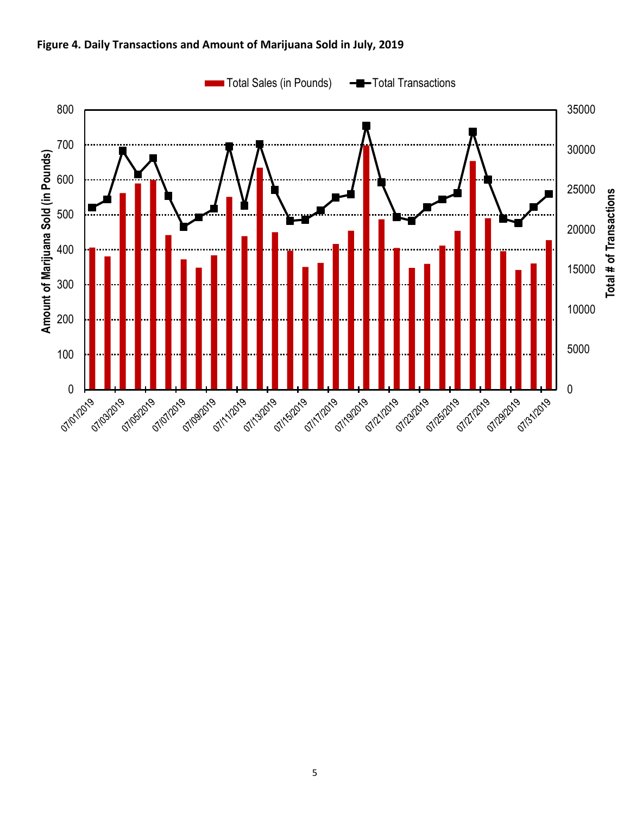

#### **Figure 4. Daily Transactions and Amount of Marijuana Sold in July, 2019**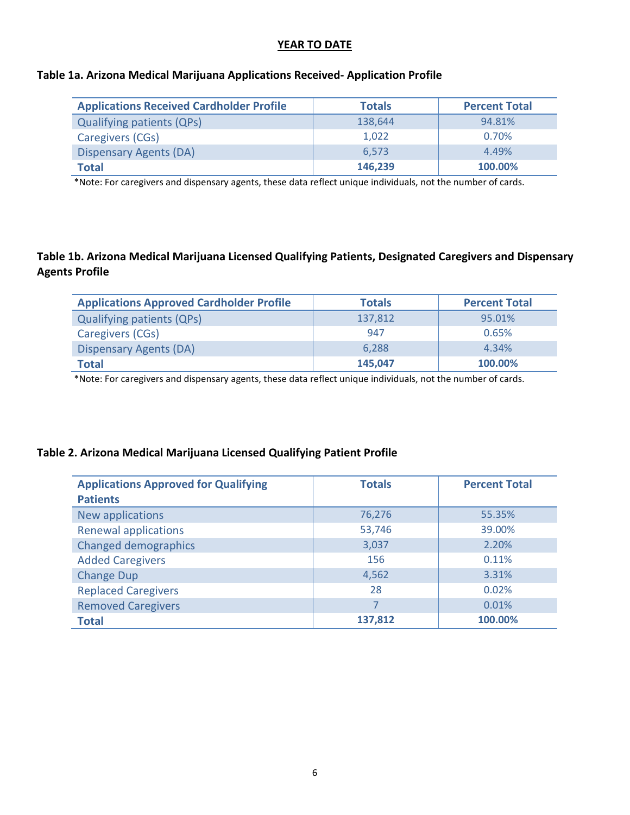### **YEAR TO DATE**

#### **Table 1a. Arizona Medical Marijuana Applications Received- Application Profile**

| <b>Applications Received Cardholder Profile</b> | <b>Totals</b> | <b>Percent Total</b> |
|-------------------------------------------------|---------------|----------------------|
| <b>Qualifying patients (QPs)</b>                | 138,644       | 94.81%               |
| Caregivers (CGs)                                | 1.022         | 0.70%                |
| <b>Dispensary Agents (DA)</b>                   | 6.573         | 4.49%                |
| <b>Total</b>                                    | 146,239       | 100.00%              |

\*Note: For caregivers and dispensary agents, these data reflect unique individuals, not the number of cards.

### **Table 1b. Arizona Medical Marijuana Licensed Qualifying Patients, Designated Caregivers and Dispensary Agents Profile**

| <b>Applications Approved Cardholder Profile</b> | <b>Totals</b> | <b>Percent Total</b> |
|-------------------------------------------------|---------------|----------------------|
| <b>Qualifying patients (QPs)</b>                | 137,812       | 95.01%               |
| Caregivers (CGs)                                | 947           | 0.65%                |
| <b>Dispensary Agents (DA)</b>                   | 6.288         | 4.34%                |
| <b>Total</b>                                    | 145,047       | 100.00%              |

\*Note: For caregivers and dispensary agents, these data reflect unique individuals, not the number of cards.

## **Table 2. Arizona Medical Marijuana Licensed Qualifying Patient Profile**

| <b>Applications Approved for Qualifying</b><br><b>Patients</b> | <b>Totals</b> | <b>Percent Total</b> |
|----------------------------------------------------------------|---------------|----------------------|
| New applications                                               | 76,276        | 55.35%               |
| <b>Renewal applications</b>                                    | 53,746        | 39.00%               |
| <b>Changed demographics</b>                                    | 3,037         | 2.20%                |
| <b>Added Caregivers</b>                                        | 156           | 0.11%                |
| <b>Change Dup</b>                                              | 4,562         | 3.31%                |
| <b>Replaced Caregivers</b>                                     | 28            | 0.02%                |
| <b>Removed Caregivers</b>                                      |               | 0.01%                |
| <b>Total</b>                                                   | 137,812       | 100.00%              |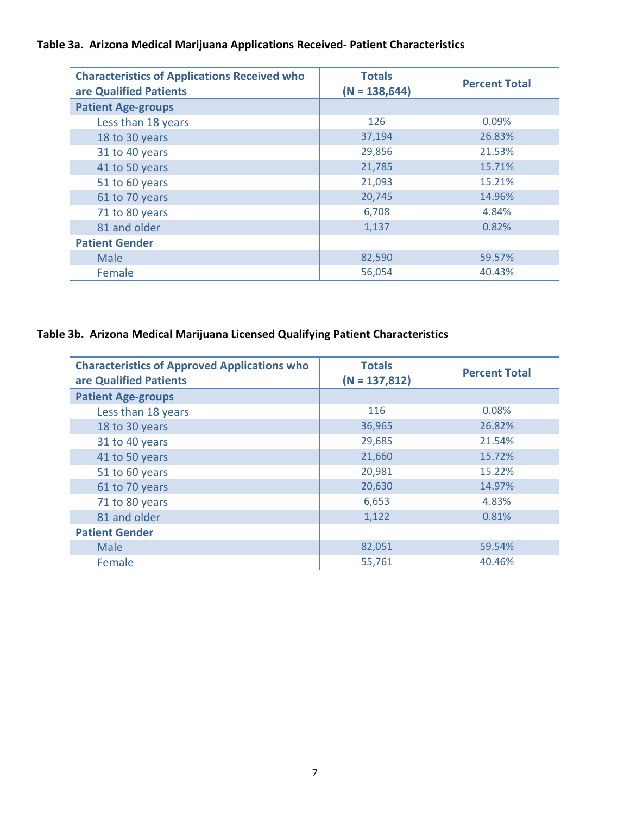# **Table 3a. Arizona Medical Marijuana Applications Received- Patient Characteristics**

| <b>Characteristics of Applications Received who</b><br>are Qualified Patients | <b>Totals</b><br>$(N = 138, 644)$ | <b>Percent Total</b> |
|-------------------------------------------------------------------------------|-----------------------------------|----------------------|
| <b>Patient Age-groups</b>                                                     |                                   |                      |
| Less than 18 years                                                            | 126                               | 0.09%                |
| 18 to 30 years                                                                | 37,194                            | 26.83%               |
| 31 to 40 years                                                                | 29,856                            | 21.53%               |
| 41 to 50 years                                                                | 21,785                            | 15.71%               |
| 51 to 60 years                                                                | 21,093                            | 15.21%               |
| 61 to 70 years                                                                | 20,745                            | 14.96%               |
| 71 to 80 years                                                                | 6,708                             | 4.84%                |
| 81 and older                                                                  | 1,137                             | 0.82%                |
| <b>Patient Gender</b>                                                         |                                   |                      |
| Male                                                                          | 82,590                            | 59.57%               |
| Female                                                                        | 56,054                            | 40.43%               |

# **Table 3b. Arizona Medical Marijuana Licensed Qualifying Patient Characteristics**

| <b>Characteristics of Approved Applications who</b><br>are Qualified Patients | <b>Totals</b><br>$(N = 137,812)$ | <b>Percent Total</b> |
|-------------------------------------------------------------------------------|----------------------------------|----------------------|
| <b>Patient Age-groups</b>                                                     |                                  |                      |
| Less than 18 years                                                            | 116                              | 0.08%                |
| 18 to 30 years                                                                | 36,965                           | 26.82%               |
| 31 to 40 years                                                                | 29,685                           | 21.54%               |
| 41 to 50 years                                                                | 21,660                           | 15.72%               |
| 51 to 60 years                                                                | 20,981                           | 15.22%               |
| 61 to 70 years                                                                | 20,630                           | 14.97%               |
| 71 to 80 years                                                                | 6,653                            | 4.83%                |
| 81 and older                                                                  | 1,122                            | 0.81%                |
| <b>Patient Gender</b>                                                         |                                  |                      |
| Male                                                                          | 82,051                           | 59.54%               |
| Female                                                                        | 55,761                           | 40.46%               |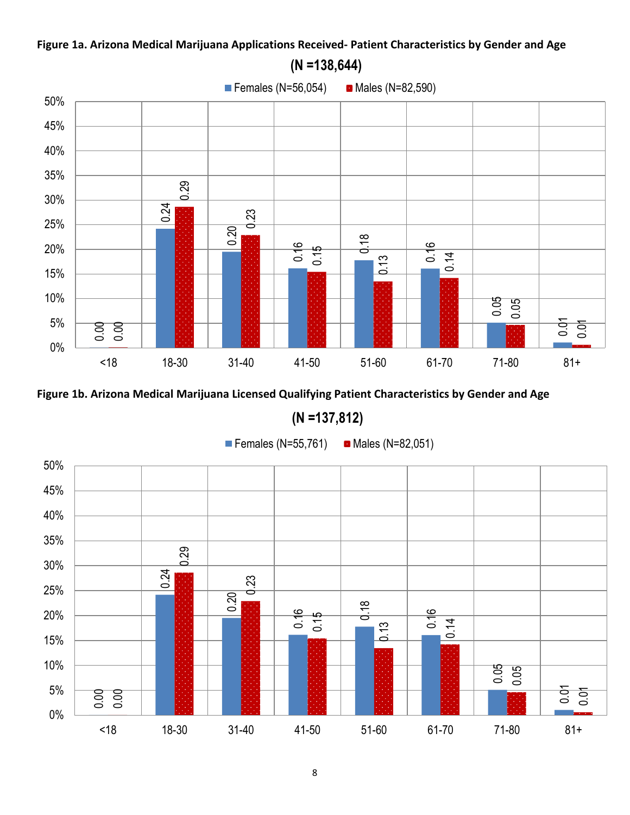# **Figure 1a. Arizona Medical Marijuana Applications Received- Patient Characteristics by Gender and Age**



**(N =137,812)**



8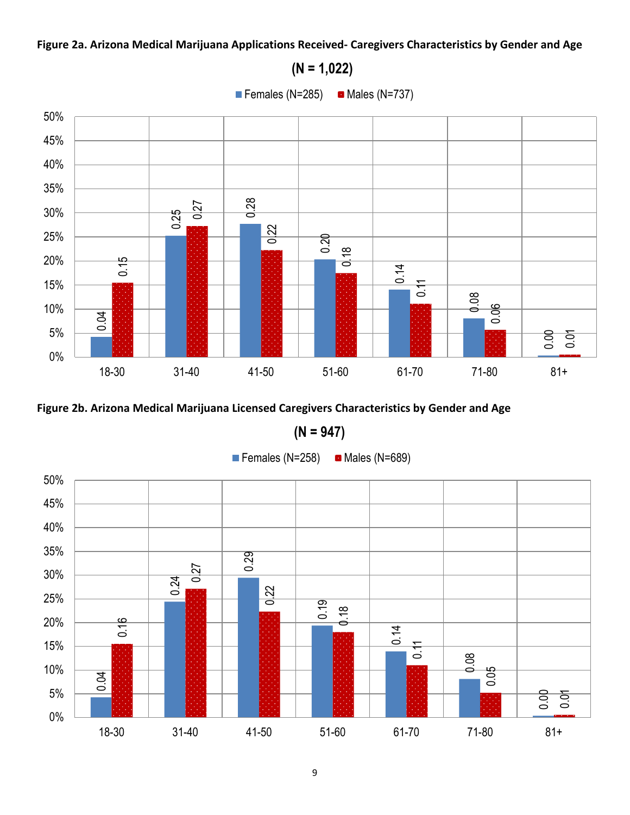## **Figure 2a. Arizona Medical Marijuana Applications Received- Caregivers Characteristics by Gender and Age**



**(N = 947)**



**(N = 1,022)**

Females (N=285)  $\blacksquare$  Males (N=737)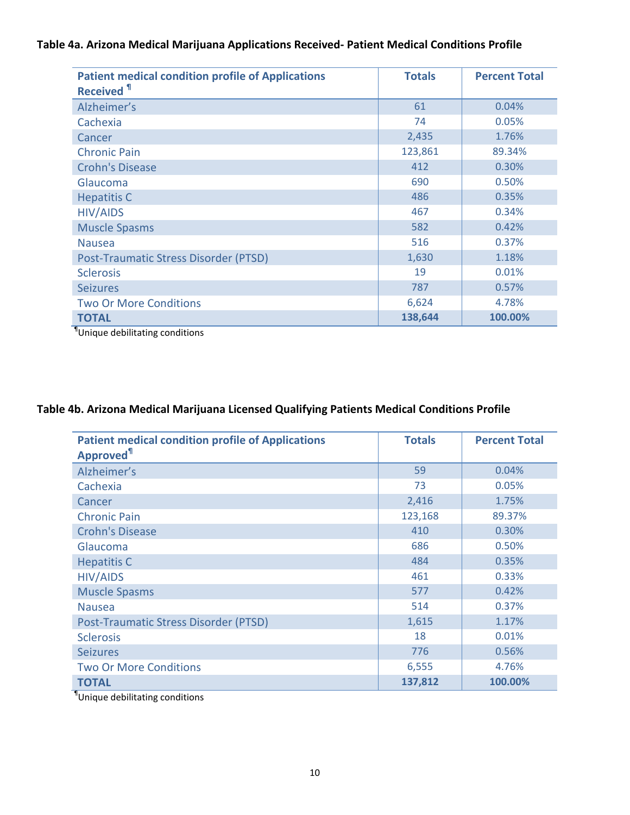## **Table 4a. Arizona Medical Marijuana Applications Received- Patient Medical Conditions Profile**

| <b>Patient medical condition profile of Applications</b><br><b>Received 1</b> | <b>Totals</b> | <b>Percent Total</b> |
|-------------------------------------------------------------------------------|---------------|----------------------|
| Alzheimer's                                                                   | 61            | 0.04%                |
| Cachexia                                                                      | 74            | 0.05%                |
| Cancer                                                                        | 2,435         | 1.76%                |
| <b>Chronic Pain</b>                                                           | 123,861       | 89.34%               |
| <b>Crohn's Disease</b>                                                        | 412           | 0.30%                |
| Glaucoma                                                                      | 690           | 0.50%                |
| <b>Hepatitis C</b>                                                            | 486           | 0.35%                |
| <b>HIV/AIDS</b>                                                               | 467           | 0.34%                |
| <b>Muscle Spasms</b>                                                          | 582           | 0.42%                |
| <b>Nausea</b>                                                                 | 516           | 0.37%                |
| Post-Traumatic Stress Disorder (PTSD)                                         | 1,630         | 1.18%                |
| <b>Sclerosis</b>                                                              | 19            | 0.01%                |
| <b>Seizures</b>                                                               | 787           | 0.57%                |
| <b>Two Or More Conditions</b>                                                 | 6,624         | 4.78%                |
| <b>TOTAL</b>                                                                  | 138,644       | 100.00%              |

¶ Unique debilitating conditions

# **Table 4b. Arizona Medical Marijuana Licensed Qualifying Patients Medical Conditions Profile**

| <b>Patient medical condition profile of Applications</b><br>Approved <sup>11</sup> | <b>Totals</b> | <b>Percent Total</b> |
|------------------------------------------------------------------------------------|---------------|----------------------|
| Alzheimer's                                                                        | 59            | 0.04%                |
| Cachexia                                                                           | 73            | 0.05%                |
| Cancer                                                                             | 2,416         | 1.75%                |
| <b>Chronic Pain</b>                                                                | 123,168       | 89.37%               |
| <b>Crohn's Disease</b>                                                             | 410           | 0.30%                |
| Glaucoma                                                                           | 686           | 0.50%                |
| <b>Hepatitis C</b>                                                                 | 484           | 0.35%                |
| <b>HIV/AIDS</b>                                                                    | 461           | 0.33%                |
| <b>Muscle Spasms</b>                                                               | 577           | 0.42%                |
| <b>Nausea</b>                                                                      | 514           | 0.37%                |
| Post-Traumatic Stress Disorder (PTSD)                                              | 1,615         | 1.17%                |
| <b>Sclerosis</b>                                                                   | 18            | 0.01%                |
| <b>Seizures</b>                                                                    | 776           | 0.56%                |
| <b>Two Or More Conditions</b>                                                      | 6,555         | 4.76%                |
| <b>TOTAL</b>                                                                       | 137,812       | 100.00%              |

¶ Unique debilitating conditions